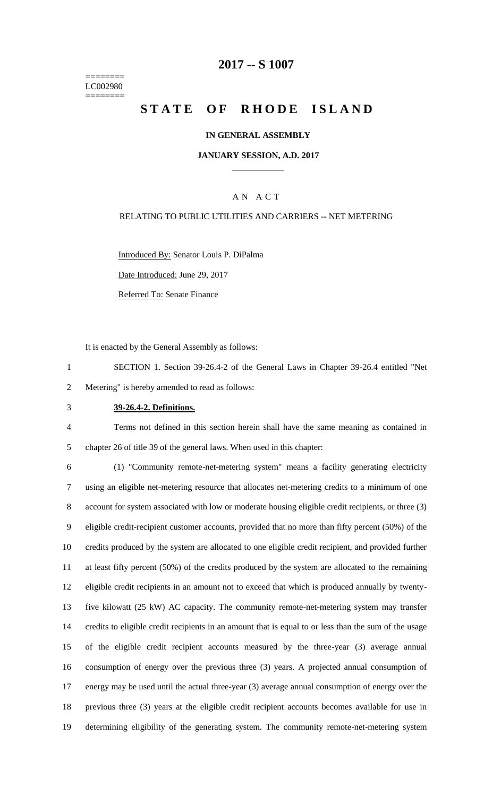======== LC002980 ========

## **-- S 1007**

# **STATE OF RHODE ISLAND**

#### **IN GENERAL ASSEMBLY**

#### **JANUARY SESSION, A.D. 2017 \_\_\_\_\_\_\_\_\_\_\_\_**

### A N A C T

### RELATING TO PUBLIC UTILITIES AND CARRIERS -- NET METERING

Introduced By: Senator Louis P. DiPalma

Date Introduced: June 29, 2017

Referred To: Senate Finance

It is enacted by the General Assembly as follows:

- SECTION 1. Section 39-26.4-2 of the General Laws in Chapter 39-26.4 entitled "Net Metering" is hereby amended to read as follows:
- 

## **39-26.4-2. Definitions.**

 Terms not defined in this section herein shall have the same meaning as contained in chapter 26 of title 39 of the general laws. When used in this chapter:

 (1) "Community remote-net-metering system" means a facility generating electricity using an eligible net-metering resource that allocates net-metering credits to a minimum of one account for system associated with low or moderate housing eligible credit recipients, or three (3) eligible credit-recipient customer accounts, provided that no more than fifty percent (50%) of the credits produced by the system are allocated to one eligible credit recipient, and provided further at least fifty percent (50%) of the credits produced by the system are allocated to the remaining eligible credit recipients in an amount not to exceed that which is produced annually by twenty- five kilowatt (25 kW) AC capacity. The community remote-net-metering system may transfer credits to eligible credit recipients in an amount that is equal to or less than the sum of the usage of the eligible credit recipient accounts measured by the three-year (3) average annual consumption of energy over the previous three (3) years. A projected annual consumption of energy may be used until the actual three-year (3) average annual consumption of energy over the previous three (3) years at the eligible credit recipient accounts becomes available for use in determining eligibility of the generating system. The community remote-net-metering system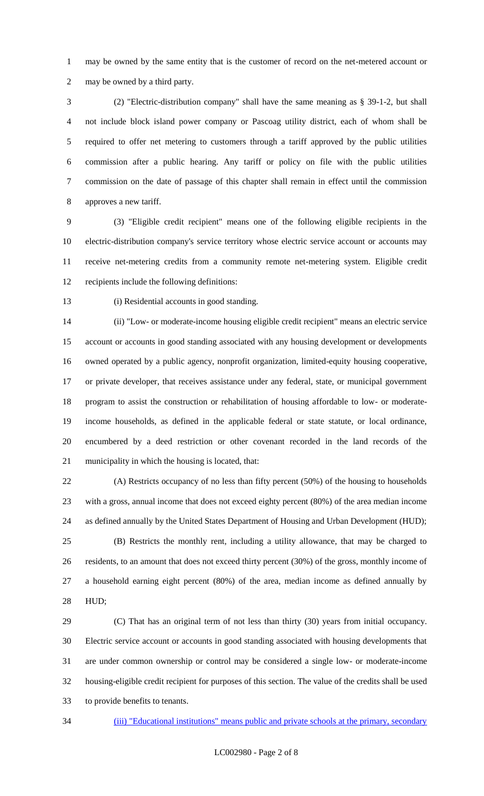may be owned by the same entity that is the customer of record on the net-metered account or may be owned by a third party.

 (2) "Electric-distribution company" shall have the same meaning as § 39-1-2, but shall not include block island power company or Pascoag utility district, each of whom shall be required to offer net metering to customers through a tariff approved by the public utilities commission after a public hearing. Any tariff or policy on file with the public utilities commission on the date of passage of this chapter shall remain in effect until the commission approves a new tariff.

 (3) "Eligible credit recipient" means one of the following eligible recipients in the electric-distribution company's service territory whose electric service account or accounts may receive net-metering credits from a community remote net-metering system. Eligible credit recipients include the following definitions:

(i) Residential accounts in good standing.

 (ii) "Low- or moderate-income housing eligible credit recipient" means an electric service account or accounts in good standing associated with any housing development or developments owned operated by a public agency, nonprofit organization, limited-equity housing cooperative, or private developer, that receives assistance under any federal, state, or municipal government program to assist the construction or rehabilitation of housing affordable to low- or moderate- income households, as defined in the applicable federal or state statute, or local ordinance, encumbered by a deed restriction or other covenant recorded in the land records of the municipality in which the housing is located, that:

 (A) Restricts occupancy of no less than fifty percent (50%) of the housing to households with a gross, annual income that does not exceed eighty percent (80%) of the area median income as defined annually by the United States Department of Housing and Urban Development (HUD);

 (B) Restricts the monthly rent, including a utility allowance, that may be charged to residents, to an amount that does not exceed thirty percent (30%) of the gross, monthly income of a household earning eight percent (80%) of the area, median income as defined annually by HUD;

 (C) That has an original term of not less than thirty (30) years from initial occupancy. Electric service account or accounts in good standing associated with housing developments that are under common ownership or control may be considered a single low- or moderate-income housing-eligible credit recipient for purposes of this section. The value of the credits shall be used to provide benefits to tenants.

34 (iii) "Educational institutions" means public and private schools at the primary, secondary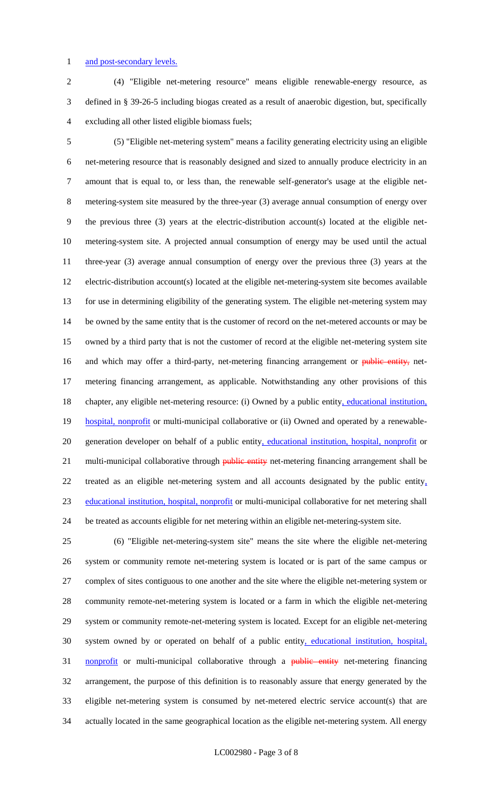#### 1 and post-secondary levels.

 (4) "Eligible net-metering resource" means eligible renewable-energy resource, as defined in § 39-26-5 including biogas created as a result of anaerobic digestion, but, specifically excluding all other listed eligible biomass fuels;

 (5) "Eligible net-metering system" means a facility generating electricity using an eligible net-metering resource that is reasonably designed and sized to annually produce electricity in an amount that is equal to, or less than, the renewable self-generator's usage at the eligible net- metering-system site measured by the three-year (3) average annual consumption of energy over the previous three (3) years at the electric-distribution account(s) located at the eligible net- metering-system site. A projected annual consumption of energy may be used until the actual three-year (3) average annual consumption of energy over the previous three (3) years at the electric-distribution account(s) located at the eligible net-metering-system site becomes available for use in determining eligibility of the generating system. The eligible net-metering system may 14 be owned by the same entity that is the customer of record on the net-metered accounts or may be owned by a third party that is not the customer of record at the eligible net-metering system site 16 and which may offer a third-party, net-metering financing arrangement or public entity, net- metering financing arrangement, as applicable. Notwithstanding any other provisions of this 18 chapter, any eligible net-metering resource: (i) Owned by a public entity, educational institution, 19 hospital, nonprofit or multi-municipal collaborative or (ii) Owned and operated by a renewable-20 generation developer on behalf of a public entity, educational institution, hospital, nonprofit or 21 multi-municipal collaborative through **public entity** net-metering financing arrangement shall be treated as an eligible net-metering system and all accounts designated by the public entity, educational institution, hospital, nonprofit or multi-municipal collaborative for net metering shall be treated as accounts eligible for net metering within an eligible net-metering-system site.

 (6) "Eligible net-metering-system site" means the site where the eligible net-metering system or community remote net-metering system is located or is part of the same campus or complex of sites contiguous to one another and the site where the eligible net-metering system or community remote-net-metering system is located or a farm in which the eligible net-metering system or community remote-net-metering system is located. Except for an eligible net-metering system owned by or operated on behalf of a public entity, educational institution, hospital, 31 nonprofit or multi-municipal collaborative through a public entity net-metering financing arrangement, the purpose of this definition is to reasonably assure that energy generated by the eligible net-metering system is consumed by net-metered electric service account(s) that are actually located in the same geographical location as the eligible net-metering system. All energy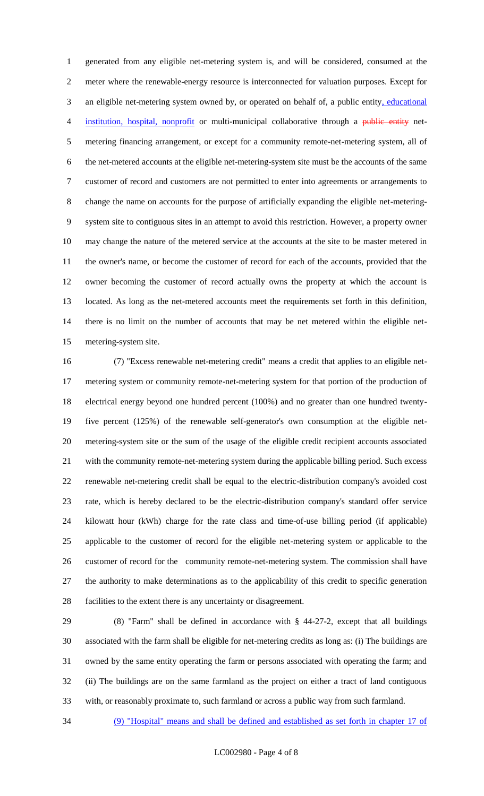generated from any eligible net-metering system is, and will be considered, consumed at the meter where the renewable-energy resource is interconnected for valuation purposes. Except for 3 an eligible net-metering system owned by, or operated on behalf of, a public entity, educational 4 institution, hospital, nonprofit or multi-municipal collaborative through a public entity net- metering financing arrangement, or except for a community remote-net-metering system, all of the net-metered accounts at the eligible net-metering-system site must be the accounts of the same customer of record and customers are not permitted to enter into agreements or arrangements to change the name on accounts for the purpose of artificially expanding the eligible net-metering- system site to contiguous sites in an attempt to avoid this restriction. However, a property owner may change the nature of the metered service at the accounts at the site to be master metered in the owner's name, or become the customer of record for each of the accounts, provided that the owner becoming the customer of record actually owns the property at which the account is located. As long as the net-metered accounts meet the requirements set forth in this definition, there is no limit on the number of accounts that may be net metered within the eligible net-metering-system site.

 (7) "Excess renewable net-metering credit" means a credit that applies to an eligible net- metering system or community remote-net-metering system for that portion of the production of electrical energy beyond one hundred percent (100%) and no greater than one hundred twenty- five percent (125%) of the renewable self-generator's own consumption at the eligible net- metering-system site or the sum of the usage of the eligible credit recipient accounts associated with the community remote-net-metering system during the applicable billing period. Such excess renewable net-metering credit shall be equal to the electric-distribution company's avoided cost rate, which is hereby declared to be the electric-distribution company's standard offer service kilowatt hour (kWh) charge for the rate class and time-of-use billing period (if applicable) applicable to the customer of record for the eligible net-metering system or applicable to the customer of record for the community remote-net-metering system. The commission shall have the authority to make determinations as to the applicability of this credit to specific generation facilities to the extent there is any uncertainty or disagreement.

 (8) "Farm" shall be defined in accordance with § 44-27-2, except that all buildings associated with the farm shall be eligible for net-metering credits as long as: (i) The buildings are owned by the same entity operating the farm or persons associated with operating the farm; and (ii) The buildings are on the same farmland as the project on either a tract of land contiguous with, or reasonably proximate to, such farmland or across a public way from such farmland.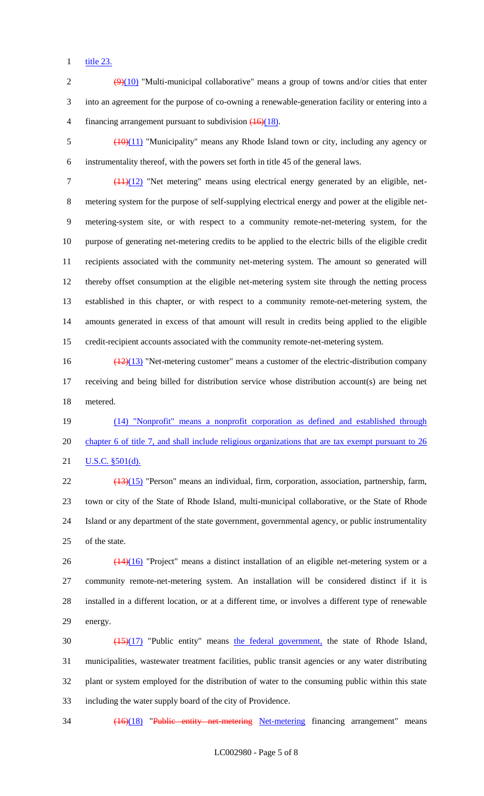title 23.

2  $\left(\frac{9}{10}\right)$  "Multi-municipal collaborative" means a group of towns and/or cities that enter into an agreement for the purpose of co-owning a renewable-generation facility or entering into a 4 financing arrangement pursuant to subdivision  $\left(\frac{16}{18}\right)$ .

 (10)(11) "Municipality" means any Rhode Island town or city, including any agency or instrumentality thereof, with the powers set forth in title 45 of the general laws.

7 (11)(12) "Net metering" means using electrical energy generated by an eligible, net- metering system for the purpose of self-supplying electrical energy and power at the eligible net- metering-system site, or with respect to a community remote-net-metering system, for the purpose of generating net-metering credits to be applied to the electric bills of the eligible credit recipients associated with the community net-metering system. The amount so generated will thereby offset consumption at the eligible net-metering system site through the netting process established in this chapter, or with respect to a community remote-net-metering system, the amounts generated in excess of that amount will result in credits being applied to the eligible credit-recipient accounts associated with the community remote-net-metering system.

 (12)(13) "Net-metering customer" means a customer of the electric-distribution company receiving and being billed for distribution service whose distribution account(s) are being net metered.

 (14) "Nonprofit" means a nonprofit corporation as defined and established through chapter 6 of title 7, and shall include religious organizations that are tax exempt pursuant to 26 **U.S.C.** §501(d).

 (13)(15) "Person" means an individual, firm, corporation, association, partnership, farm, town or city of the State of Rhode Island, multi-municipal collaborative, or the State of Rhode Island or any department of the state government, governmental agency, or public instrumentality of the state.

 $26 \left( \frac{(14)(16)}{2} \right)$  "Project" means a distinct installation of an eligible net-metering system or a community remote-net-metering system. An installation will be considered distinct if it is installed in a different location, or at a different time, or involves a different type of renewable energy.

 $\left(\frac{(15)(17)}{2}\right)$  "Public entity" means the federal government, the state of Rhode Island, municipalities, wastewater treatment facilities, public transit agencies or any water distributing plant or system employed for the distribution of water to the consuming public within this state including the water supply board of the city of Providence.

34 (16)(18) "Public entity net-metering Net-metering financing arrangement" means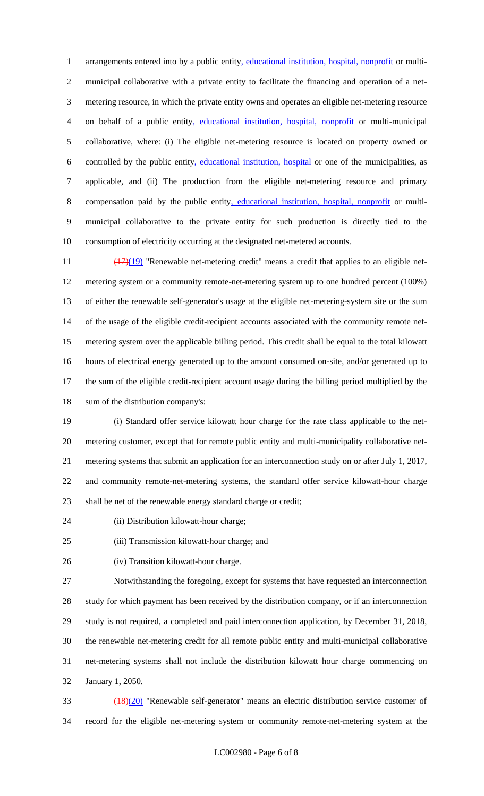1 arrangements entered into by a public entity, educational institution, hospital, nonprofit or multi- municipal collaborative with a private entity to facilitate the financing and operation of a net- metering resource, in which the private entity owns and operates an eligible net-metering resource on behalf of a public entity, educational institution, hospital, nonprofit or multi-municipal collaborative, where: (i) The eligible net-metering resource is located on property owned or controlled by the public entity, educational institution, hospital or one of the municipalities, as applicable, and (ii) The production from the eligible net-metering resource and primary compensation paid by the public entity, educational institution, hospital, nonprofit or multi- municipal collaborative to the private entity for such production is directly tied to the consumption of electricity occurring at the designated net-metered accounts.

 $\frac{(17)(19)}{17}$  "Renewable net-metering credit" means a credit that applies to an eligible net- metering system or a community remote-net-metering system up to one hundred percent (100%) of either the renewable self-generator's usage at the eligible net-metering-system site or the sum of the usage of the eligible credit-recipient accounts associated with the community remote net- metering system over the applicable billing period. This credit shall be equal to the total kilowatt hours of electrical energy generated up to the amount consumed on-site, and/or generated up to the sum of the eligible credit-recipient account usage during the billing period multiplied by the sum of the distribution company's:

 (i) Standard offer service kilowatt hour charge for the rate class applicable to the net- metering customer, except that for remote public entity and multi-municipality collaborative net- metering systems that submit an application for an interconnection study on or after July 1, 2017, and community remote-net-metering systems, the standard offer service kilowatt-hour charge shall be net of the renewable energy standard charge or credit;

- (ii) Distribution kilowatt-hour charge;
- (iii) Transmission kilowatt-hour charge; and
- (iv) Transition kilowatt-hour charge.

 Notwithstanding the foregoing, except for systems that have requested an interconnection study for which payment has been received by the distribution company, or if an interconnection study is not required, a completed and paid interconnection application, by December 31, 2018, the renewable net-metering credit for all remote public entity and multi-municipal collaborative net-metering systems shall not include the distribution kilowatt hour charge commencing on January 1, 2050.

 (18)(20) "Renewable self-generator" means an electric distribution service customer of record for the eligible net-metering system or community remote-net-metering system at the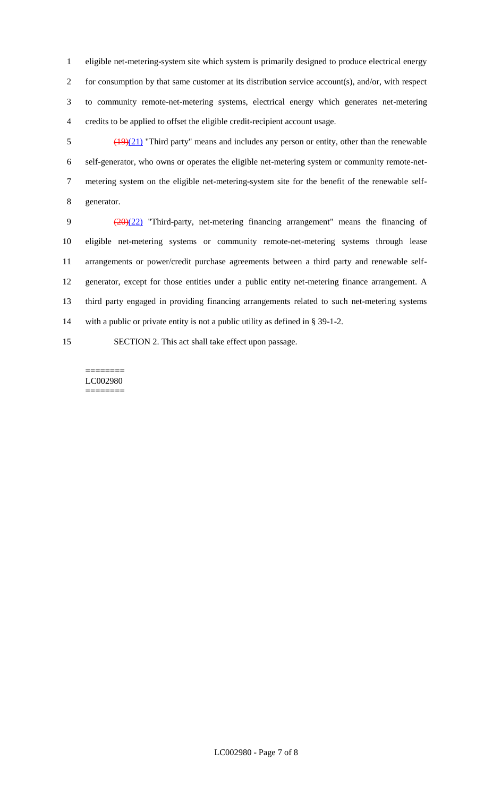eligible net-metering-system site which system is primarily designed to produce electrical energy for consumption by that same customer at its distribution service account(s), and/or, with respect to community remote-net-metering systems, electrical energy which generates net-metering credits to be applied to offset the eligible credit-recipient account usage.

 $\frac{(19)(21)}{21}$  "Third party" means and includes any person or entity, other than the renewable self-generator, who owns or operates the eligible net-metering system or community remote-net- metering system on the eligible net-metering-system site for the benefit of the renewable self-generator.

 (20)(22) "Third-party, net-metering financing arrangement" means the financing of eligible net-metering systems or community remote-net-metering systems through lease arrangements or power/credit purchase agreements between a third party and renewable self- generator, except for those entities under a public entity net-metering finance arrangement. A third party engaged in providing financing arrangements related to such net-metering systems with a public or private entity is not a public utility as defined in § 39-1-2.

SECTION 2. This act shall take effect upon passage.

======== LC002980 ========